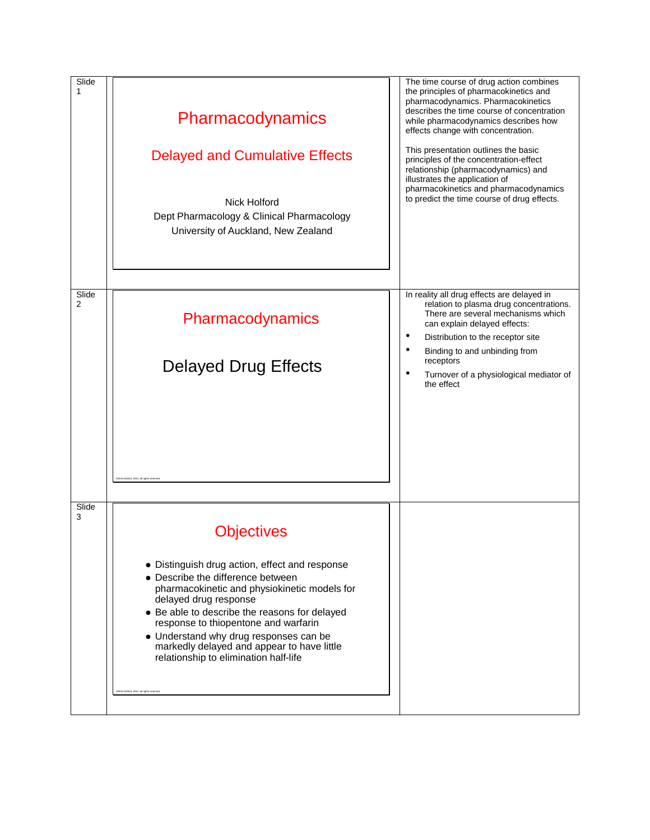| Slide<br>1 | Pharmacodynamics<br><b>Delayed and Cumulative Effects</b><br>Nick Holford<br>Dept Pharmacology & Clinical Pharmacology<br>University of Auckland, New Zealand                                                                                                                                                                                                                                                                                                                                | The time course of drug action combines<br>the principles of pharmacokinetics and<br>pharmacodynamics. Pharmacokinetics<br>describes the time course of concentration<br>while pharmacodynamics describes how<br>effects change with concentration.<br>This presentation outlines the basic<br>principles of the concentration-effect<br>relationship (pharmacodynamics) and<br>illustrates the application of<br>pharmacokinetics and pharmacodynamics<br>to predict the time course of drug effects. |
|------------|----------------------------------------------------------------------------------------------------------------------------------------------------------------------------------------------------------------------------------------------------------------------------------------------------------------------------------------------------------------------------------------------------------------------------------------------------------------------------------------------|--------------------------------------------------------------------------------------------------------------------------------------------------------------------------------------------------------------------------------------------------------------------------------------------------------------------------------------------------------------------------------------------------------------------------------------------------------------------------------------------------------|
| Slide<br>2 | Pharmacodynamics<br><b>Delayed Drug Effects</b>                                                                                                                                                                                                                                                                                                                                                                                                                                              | In reality all drug effects are delayed in<br>relation to plasma drug concentrations.<br>There are several mechanisms which<br>can explain delayed effects:<br>٠<br>Distribution to the receptor site<br>٠<br>Binding to and unbinding from<br>receptors<br>$\bullet$<br>Turnover of a physiological mediator of<br>the effect                                                                                                                                                                         |
| Slide<br>3 | NHG Holford, 2012, all rights rese<br><b>Objectives</b><br>• Distinguish drug action, effect and response<br>• Describe the difference between<br>pharmacokinetic and physiokinetic models for<br>delayed drug response<br>• Be able to describe the reasons for delayed<br>response to thiopentone and warfarin<br>• Understand why drug responses can be<br>markedly delayed and appear to have little<br>relationship to elimination half-life<br>CNHG Holford, 2012, all rights reserved |                                                                                                                                                                                                                                                                                                                                                                                                                                                                                                        |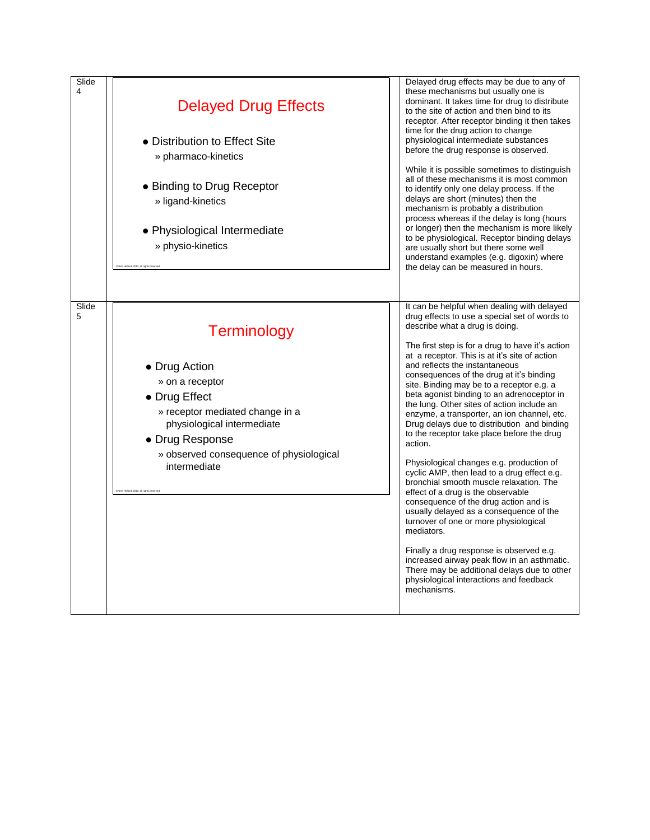| Slide<br>4 | <b>Delayed Drug Effects</b><br>• Distribution to Effect Site<br>» pharmaco-kinetics<br>• Binding to Drug Receptor<br>» ligand-kinetics<br>• Physiological Intermediate<br>» physio-kinetics<br>NHG Holford, 2012, all rights reserved                             | Delayed drug effects may be due to any of<br>these mechanisms but usually one is<br>dominant. It takes time for drug to distribute<br>to the site of action and then bind to its<br>receptor. After receptor binding it then takes<br>time for the drug action to change<br>physiological intermediate substances<br>before the drug response is observed.<br>While it is possible sometimes to distinguish<br>all of these mechanisms it is most common<br>to identify only one delay process. If the<br>delays are short (minutes) then the<br>mechanism is probably a distribution<br>process whereas if the delay is long (hours<br>or longer) then the mechanism is more likely<br>to be physiological. Receptor binding delays<br>are usually short but there some well<br>understand examples (e.g. digoxin) where<br>the delay can be measured in hours.                                                                                                                                                                                                                                                                             |
|------------|-------------------------------------------------------------------------------------------------------------------------------------------------------------------------------------------------------------------------------------------------------------------|----------------------------------------------------------------------------------------------------------------------------------------------------------------------------------------------------------------------------------------------------------------------------------------------------------------------------------------------------------------------------------------------------------------------------------------------------------------------------------------------------------------------------------------------------------------------------------------------------------------------------------------------------------------------------------------------------------------------------------------------------------------------------------------------------------------------------------------------------------------------------------------------------------------------------------------------------------------------------------------------------------------------------------------------------------------------------------------------------------------------------------------------|
| Slide<br>5 | <b>Terminology</b><br>• Drug Action<br>» on a receptor<br>• Drug Effect<br>» receptor mediated change in a<br>physiological intermediate<br>• Drug Response<br>» observed consequence of physiological<br>intermediate<br>CNHG Holford, 2012, all rights reserved | It can be helpful when dealing with delayed<br>drug effects to use a special set of words to<br>describe what a drug is doing.<br>The first step is for a drug to have it's action<br>at a receptor. This is at it's site of action<br>and reflects the instantaneous<br>consequences of the drug at it's binding<br>site. Binding may be to a receptor e.g. a<br>beta agonist binding to an adrenoceptor in<br>the lung. Other sites of action include an<br>enzyme, a transporter, an ion channel, etc.<br>Drug delays due to distribution and binding<br>to the receptor take place before the drug<br>action.<br>Physiological changes e.g. production of<br>cyclic AMP, then lead to a drug effect e.g.<br>bronchial smooth muscle relaxation. The<br>effect of a drug is the observable<br>consequence of the drug action and is<br>usually delayed as a consequence of the<br>turnover of one or more physiological<br>mediators.<br>Finally a drug response is observed e.g.<br>increased airway peak flow in an asthmatic.<br>There may be additional delays due to other<br>physiological interactions and feedback<br>mechanisms. |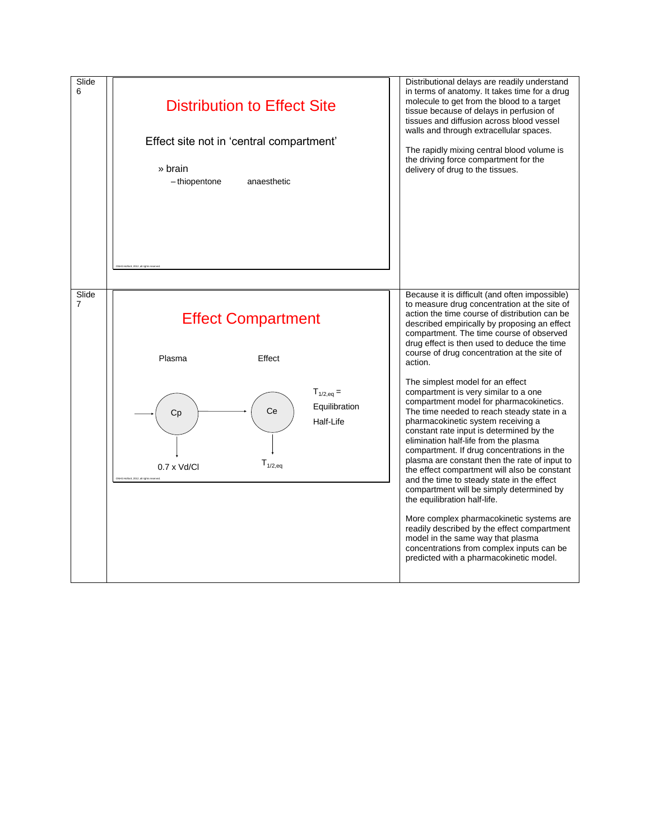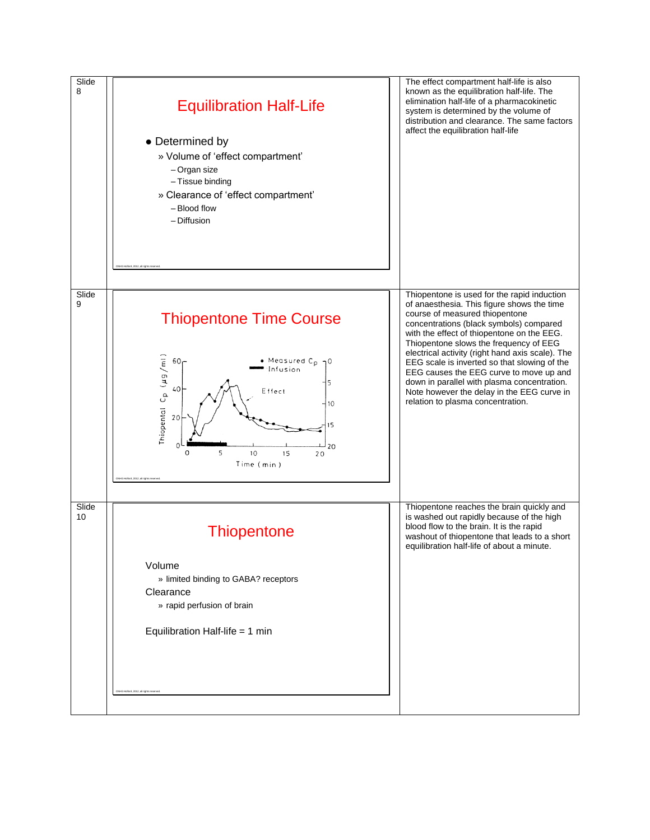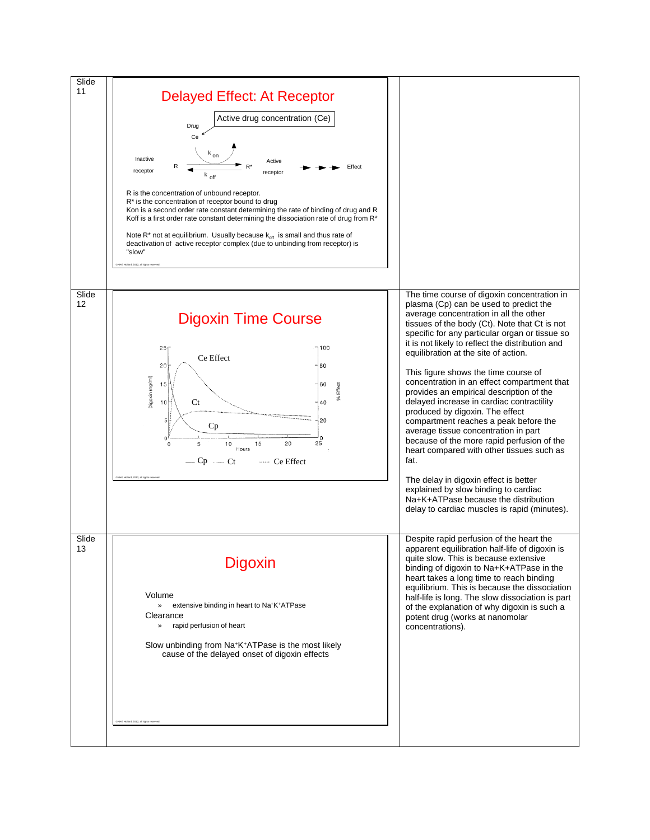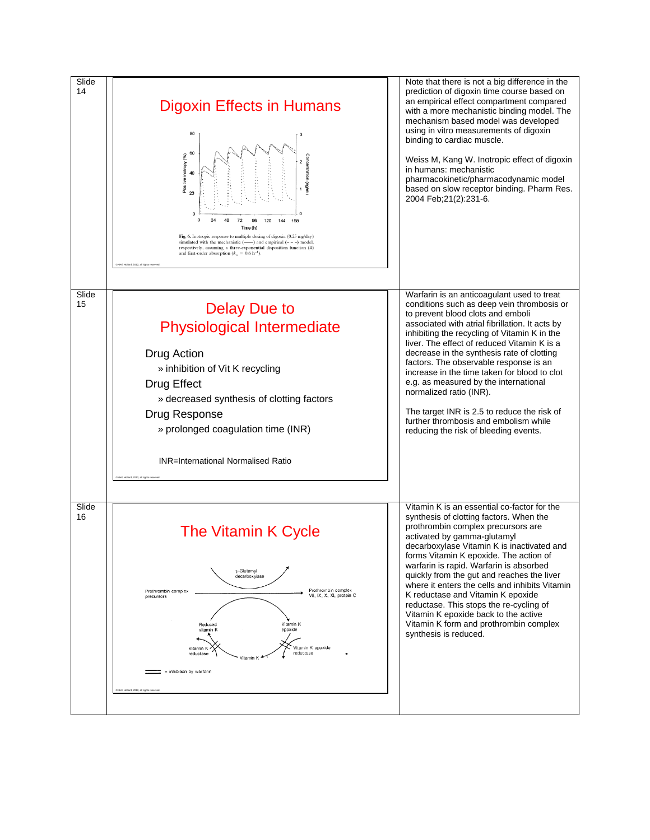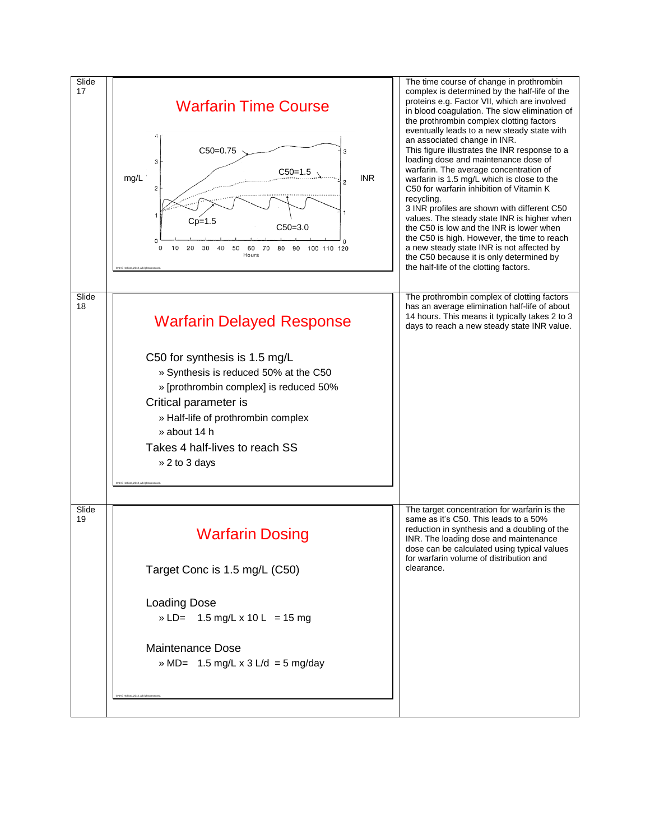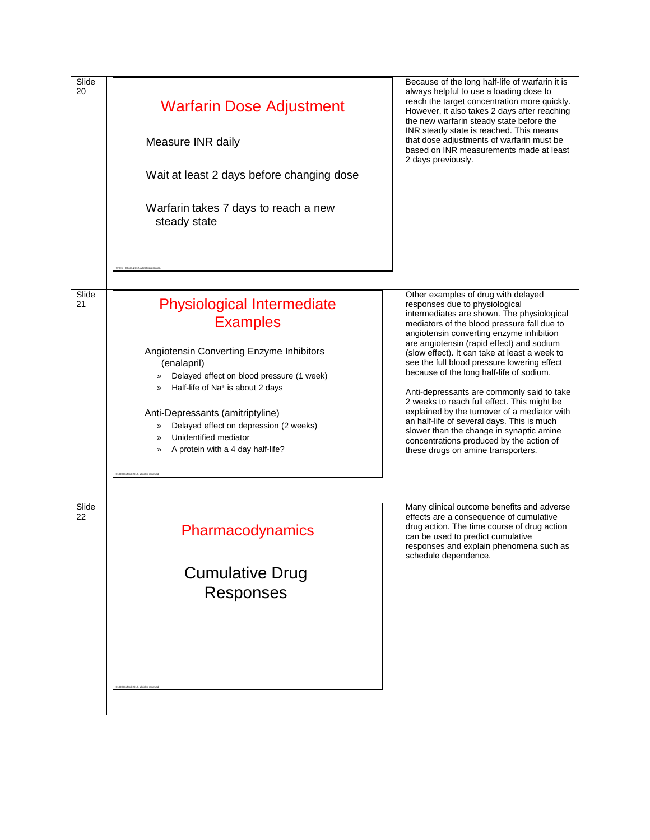| Slide<br>20 | <b>Warfarin Dose Adjustment</b><br>Measure INR daily<br>Wait at least 2 days before changing dose<br>Warfarin takes 7 days to reach a new<br>steady state<br>NHG Holford, 2012, all rights reserve                                                                                                                                                                                                             | Because of the long half-life of warfarin it is<br>always helpful to use a loading dose to<br>reach the target concentration more quickly.<br>However, it also takes 2 days after reaching<br>the new warfarin steady state before the<br>INR steady state is reached. This means<br>that dose adjustments of warfarin must be<br>based on INR measurements made at least<br>2 days previously.                                                                                                                                                                                                                                                                                                                                  |
|-------------|----------------------------------------------------------------------------------------------------------------------------------------------------------------------------------------------------------------------------------------------------------------------------------------------------------------------------------------------------------------------------------------------------------------|----------------------------------------------------------------------------------------------------------------------------------------------------------------------------------------------------------------------------------------------------------------------------------------------------------------------------------------------------------------------------------------------------------------------------------------------------------------------------------------------------------------------------------------------------------------------------------------------------------------------------------------------------------------------------------------------------------------------------------|
| Slide<br>21 | <b>Physiological Intermediate</b><br><b>Examples</b><br>Angiotensin Converting Enzyme Inhibitors<br>(enalapril)<br>Delayed effect on blood pressure (1 week)<br>»<br>Half-life of Na <sup>+</sup> is about 2 days<br>»<br>Anti-Depressants (amitriptyline)<br>Delayed effect on depression (2 weeks)<br>»<br>Unidentified mediator<br>≫<br>A protein with a 4 day half-life?<br>»<br>Holford, 2012, all rights | Other examples of drug with delayed<br>responses due to physiological<br>intermediates are shown. The physiological<br>mediators of the blood pressure fall due to<br>angiotensin converting enzyme inhibition<br>are angiotensin (rapid effect) and sodium<br>(slow effect). It can take at least a week to<br>see the full blood pressure lowering effect<br>because of the long half-life of sodium.<br>Anti-depressants are commonly said to take<br>2 weeks to reach full effect. This might be<br>explained by the turnover of a mediator with<br>an half-life of several days. This is much<br>slower than the change in synaptic amine<br>concentrations produced by the action of<br>these drugs on amine transporters. |
| Slide<br>22 | Pharmacodynamics<br><b>Cumulative Drug</b><br>Responses<br>NHG Holford, 2012, all rights re                                                                                                                                                                                                                                                                                                                    | Many clinical outcome benefits and adverse<br>effects are a consequence of cumulative<br>drug action. The time course of drug action<br>can be used to predict cumulative<br>responses and explain phenomena such as<br>schedule dependence.                                                                                                                                                                                                                                                                                                                                                                                                                                                                                     |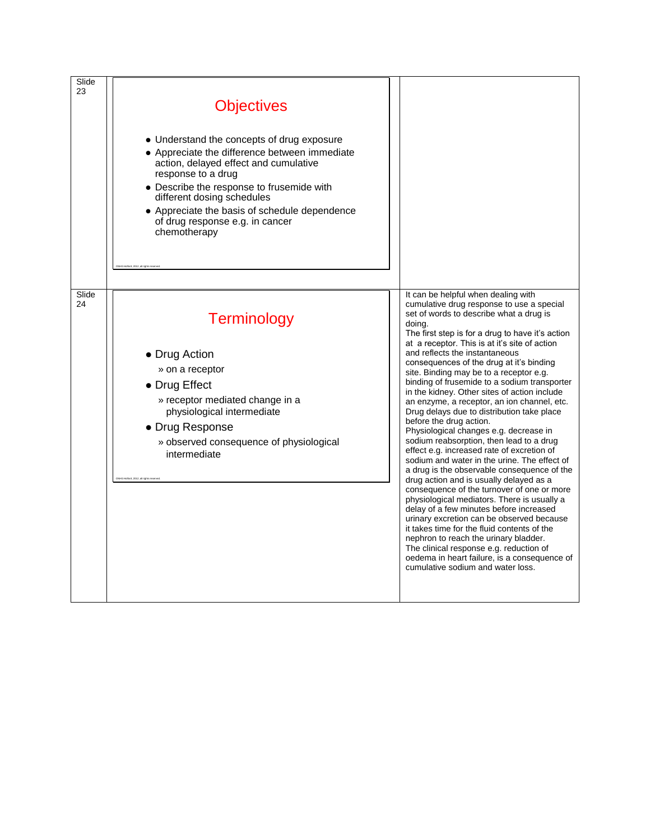| Slide<br>23 | <b>Objectives</b><br>• Understand the concepts of drug exposure<br>• Appreciate the difference between immediate<br>action, delayed effect and cumulative<br>response to a drug<br>• Describe the response to frusemide with<br>different dosing schedules<br>• Appreciate the basis of schedule dependence<br>of drug response e.g. in cancer<br>chemotherapy |                                                                                                                                                                                                                                                                                                                                                                                                                                                                                                                                                                                                                                                                                                                                                                                                                                                                                                                                                                                                                                                                                                                                                                                                                                                                                        |
|-------------|----------------------------------------------------------------------------------------------------------------------------------------------------------------------------------------------------------------------------------------------------------------------------------------------------------------------------------------------------------------|----------------------------------------------------------------------------------------------------------------------------------------------------------------------------------------------------------------------------------------------------------------------------------------------------------------------------------------------------------------------------------------------------------------------------------------------------------------------------------------------------------------------------------------------------------------------------------------------------------------------------------------------------------------------------------------------------------------------------------------------------------------------------------------------------------------------------------------------------------------------------------------------------------------------------------------------------------------------------------------------------------------------------------------------------------------------------------------------------------------------------------------------------------------------------------------------------------------------------------------------------------------------------------------|
| Slide<br>24 | <b>Terminology</b><br>• Drug Action<br>» on a receptor<br>• Drug Effect<br>» receptor mediated change in a<br>physiological intermediate<br>• Drug Response<br>» observed consequence of physiological<br>intermediate<br><b>HO Hollows 2012 all rights of</b>                                                                                                 | It can be helpful when dealing with<br>cumulative drug response to use a special<br>set of words to describe what a drug is<br>doing.<br>The first step is for a drug to have it's action<br>at a receptor. This is at it's site of action<br>and reflects the instantaneous<br>consequences of the drug at it's binding<br>site. Binding may be to a receptor e.g.<br>binding of frusemide to a sodium transporter<br>in the kidney. Other sites of action include<br>an enzyme, a receptor, an ion channel, etc.<br>Drug delays due to distribution take place<br>before the drug action.<br>Physiological changes e.g. decrease in<br>sodium reabsorption, then lead to a drug<br>effect e.g. increased rate of excretion of<br>sodium and water in the urine. The effect of<br>a drug is the observable consequence of the<br>drug action and is usually delayed as a<br>consequence of the turnover of one or more<br>physiological mediators. There is usually a<br>delay of a few minutes before increased<br>urinary excretion can be observed because<br>it takes time for the fluid contents of the<br>nephron to reach the urinary bladder.<br>The clinical response e.g. reduction of<br>oedema in heart failure, is a consequence of<br>cumulative sodium and water loss. |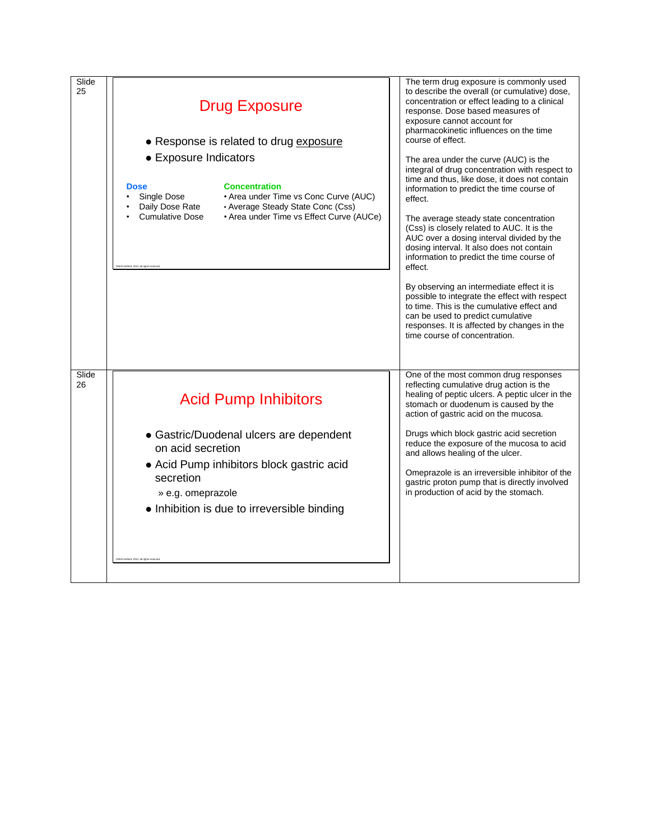| Slide<br>25 | <b>Drug Exposure</b><br>• Response is related to drug exposure<br>• Exposure Indicators<br><b>Concentration</b><br><b>Dose</b><br>• Area under Time vs Conc Curve (AUC)<br>Single Dose<br>Daily Dose Rate<br>• Average Steady State Conc (Css)<br><b>Cumulative Dose</b><br>• Area under Time vs Effect Curve (AUCe)<br>IHG Holford, 2012, all rights rese | The term drug exposure is commonly used<br>to describe the overall (or cumulative) dose,<br>concentration or effect leading to a clinical<br>response. Dose based measures of<br>exposure cannot account for<br>pharmacokinetic influences on the time<br>course of effect.<br>The area under the curve (AUC) is the<br>integral of drug concentration with respect to<br>time and thus, like dose, it does not contain<br>information to predict the time course of<br>effect.<br>The average steady state concentration<br>(Css) is closely related to AUC. It is the<br>AUC over a dosing interval divided by the<br>dosing interval. It also does not contain<br>information to predict the time course of<br>effect.<br>By observing an intermediate effect it is<br>possible to integrate the effect with respect<br>to time. This is the cumulative effect and<br>can be used to predict cumulative<br>responses. It is affected by changes in the<br>time course of concentration. |
|-------------|------------------------------------------------------------------------------------------------------------------------------------------------------------------------------------------------------------------------------------------------------------------------------------------------------------------------------------------------------------|--------------------------------------------------------------------------------------------------------------------------------------------------------------------------------------------------------------------------------------------------------------------------------------------------------------------------------------------------------------------------------------------------------------------------------------------------------------------------------------------------------------------------------------------------------------------------------------------------------------------------------------------------------------------------------------------------------------------------------------------------------------------------------------------------------------------------------------------------------------------------------------------------------------------------------------------------------------------------------------------|
| Slide<br>26 | <b>Acid Pump Inhibitors</b><br>• Gastric/Duodenal ulcers are dependent<br>on acid secretion<br>• Acid Pump inhibitors block gastric acid<br>secretion<br>» e.g. omeprazole<br>• Inhibition is due to irreversible binding<br>ford, 2012, all rights re                                                                                                     | One of the most common drug responses<br>reflecting cumulative drug action is the<br>healing of peptic ulcers. A peptic ulcer in the<br>stomach or duodenum is caused by the<br>action of gastric acid on the mucosa.<br>Drugs which block gastric acid secretion<br>reduce the exposure of the mucosa to acid<br>and allows healing of the ulcer.<br>Omeprazole is an irreversible inhibitor of the<br>gastric proton pump that is directly involved<br>in production of acid by the stomach.                                                                                                                                                                                                                                                                                                                                                                                                                                                                                             |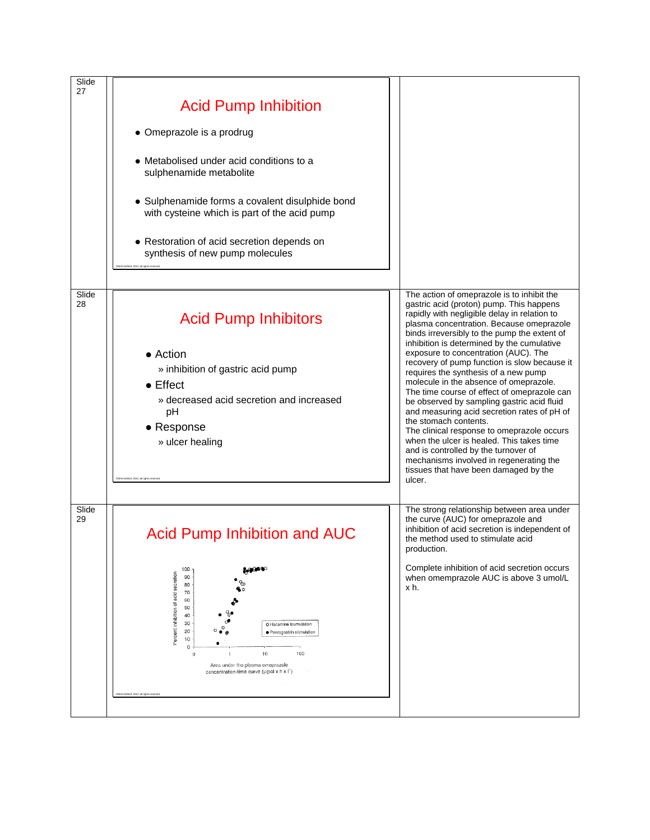| Slide<br>27 |                                                                                                                                                                                                                                                                                                                             |        |                                                                                                                                                                                                                                                                                                                                                                                                                                                                                                                                                                                                        |
|-------------|-----------------------------------------------------------------------------------------------------------------------------------------------------------------------------------------------------------------------------------------------------------------------------------------------------------------------------|--------|--------------------------------------------------------------------------------------------------------------------------------------------------------------------------------------------------------------------------------------------------------------------------------------------------------------------------------------------------------------------------------------------------------------------------------------------------------------------------------------------------------------------------------------------------------------------------------------------------------|
|             | <b>Acid Pump Inhibition</b>                                                                                                                                                                                                                                                                                                 |        |                                                                                                                                                                                                                                                                                                                                                                                                                                                                                                                                                                                                        |
|             | • Omeprazole is a prodrug                                                                                                                                                                                                                                                                                                   |        |                                                                                                                                                                                                                                                                                                                                                                                                                                                                                                                                                                                                        |
|             | • Metabolised under acid conditions to a<br>sulphenamide metabolite                                                                                                                                                                                                                                                         |        |                                                                                                                                                                                                                                                                                                                                                                                                                                                                                                                                                                                                        |
|             | • Sulphenamide forms a covalent disulphide bond<br>with cysteine which is part of the acid pump                                                                                                                                                                                                                             |        |                                                                                                                                                                                                                                                                                                                                                                                                                                                                                                                                                                                                        |
|             | • Restoration of acid secretion depends on<br>synthesis of new pump molecules<br>IHG Holford, 2012, all rights reserve                                                                                                                                                                                                      |        |                                                                                                                                                                                                                                                                                                                                                                                                                                                                                                                                                                                                        |
| Slide<br>28 | <b>Acid Pump Inhibitors</b><br>• Action<br>» inhibition of gastric acid pump<br>$\bullet$ Effect<br>» decreased acid secretion and increased<br>pH                                                                                                                                                                          |        | The action of omeprazole is to inhibit the<br>gastric acid (proton) pump. This happens<br>rapidly with negligible delay in relation to<br>plasma concentration. Because omeprazole<br>binds irreversibly to the pump the extent of<br>inhibition is determined by the cumulative<br>exposure to concentration (AUC). The<br>recovery of pump function is slow because it<br>requires the synthesis of a new pump<br>molecule in the absence of omeprazole.<br>The time course of effect of omeprazole can<br>be observed by sampling gastric acid fluid<br>and measuring acid secretion rates of pH of |
|             | • Response<br>» ulcer healing<br>CNHG Holford, 2012, all rights reserve                                                                                                                                                                                                                                                     | ulcer. | the stomach contents.<br>The clinical response to omeprazole occurs<br>when the ulcer is healed. This takes time<br>and is controlled by the turnover of<br>mechanisms involved in regenerating the<br>tissues that have been damaged by the                                                                                                                                                                                                                                                                                                                                                           |
| Slide<br>29 | Acid Pump Inhibition and AUC                                                                                                                                                                                                                                                                                                |        | The strong relationship between area under<br>the curve (AUC) for omeprazole and<br>inhibition of acid secretion is independent of<br>the method used to stimulate acid<br>production.                                                                                                                                                                                                                                                                                                                                                                                                                 |
|             | 100<br>acid secretion<br>90<br>80<br>70<br>60<br>Percent inhibition of<br>50<br>40<br>30<br>O Histamine stumulation<br>20<br>· Pentagastrin stimulation<br>10<br>$\circ$<br>100<br>10<br>$\,0\,$<br>Area under the plasma omeprazole<br>concentration-time curve (umol x h x l')<br>CNHG Holford, 2012, all rights reserver | x h.   | Complete inhibition of acid secretion occurs<br>when omemprazole AUC is above 3 umol/L                                                                                                                                                                                                                                                                                                                                                                                                                                                                                                                 |
|             |                                                                                                                                                                                                                                                                                                                             |        |                                                                                                                                                                                                                                                                                                                                                                                                                                                                                                                                                                                                        |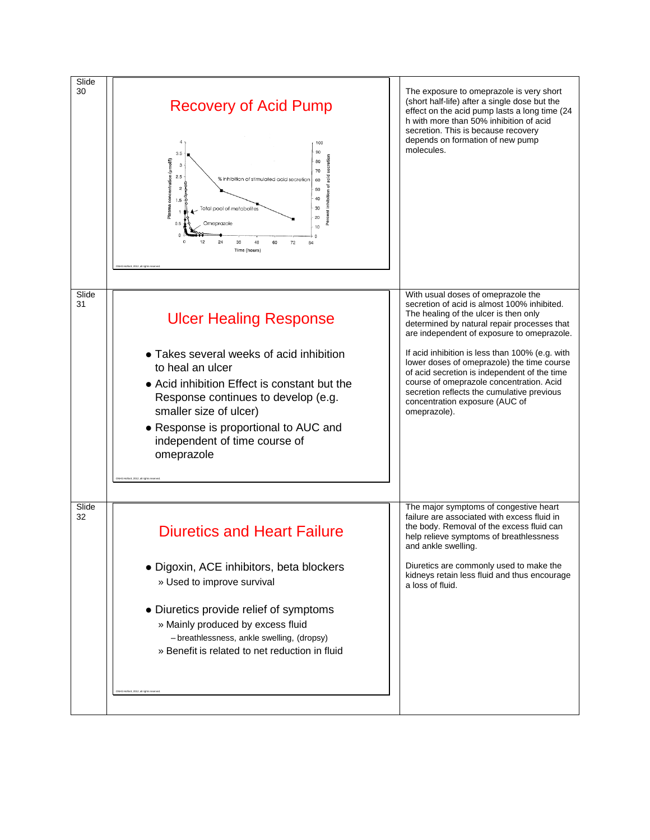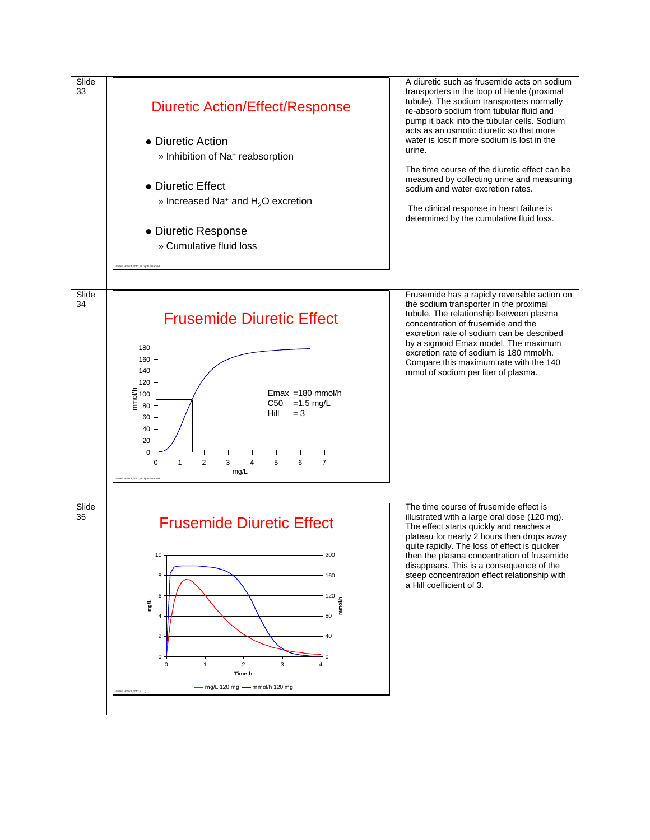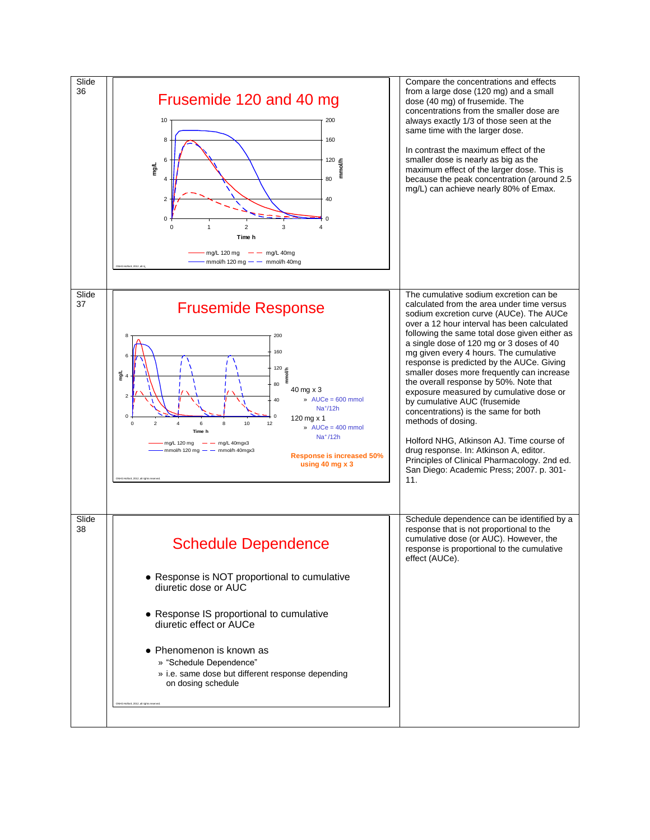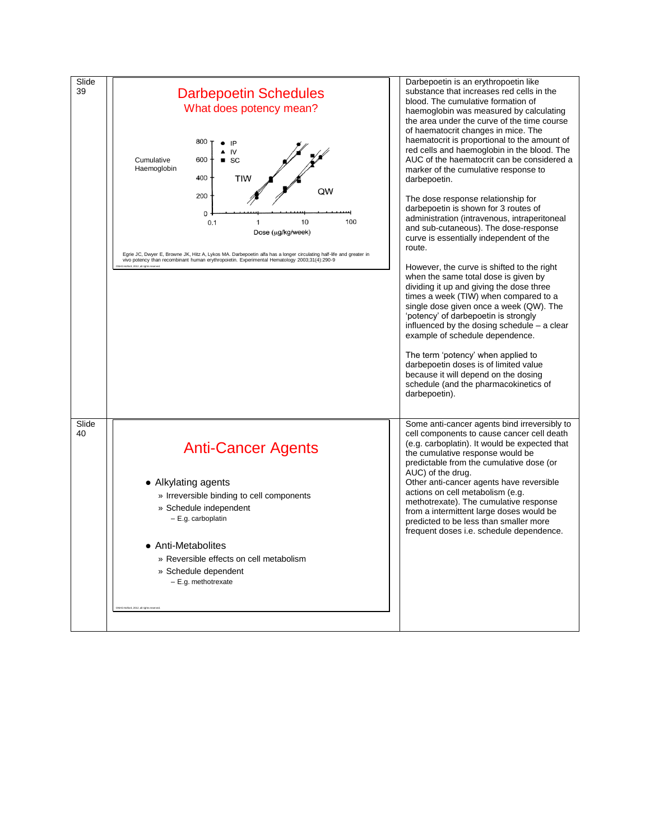